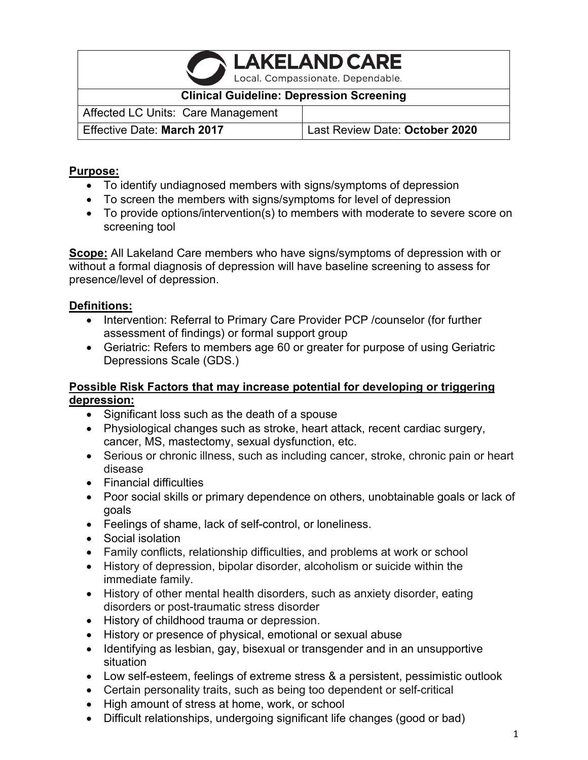**LAKELAND CARE** Local. Compassionate. Dependable.

#### **Clinical Guideline: Depression Screening**

Affected LC Units: Care Management Effective Date: **March 2017** Last Review Date: **October 2020**

#### **Purpose:**

- To identify undiagnosed members with signs/symptoms of depression
- To screen the members with signs/symptoms for level of depression
- To provide options/intervention(s) to members with moderate to severe score on screening tool

**Scope:** All Lakeland Care members who have signs/symptoms of depression with or without a formal diagnosis of depression will have baseline screening to assess for presence/level of depression.

## **Definitions:**

- Intervention: Referral to Primary Care Provider PCP /counselor (for further assessment of findings) or formal support group
- Geriatric: Refers to members age 60 or greater for purpose of using Geriatric Depressions Scale (GDS.)

### **Possible Risk Factors that may increase potential for developing or triggering depression:**

- Significant loss such as the death of a spouse
- Physiological changes such as stroke, heart attack, recent cardiac surgery, cancer, MS, mastectomy, sexual dysfunction, etc.
- Serious or chronic illness, such as including cancer, stroke, chronic pain or heart disease
- Financial difficulties
- Poor social skills or primary dependence on others, unobtainable goals or lack of goals
- Feelings of shame, lack of self-control, or loneliness.
- Social isolation
- Family conflicts, relationship difficulties, and problems at work or school
- History of depression, bipolar disorder, alcoholism or suicide within the immediate family.
- History of other mental health disorders, such as anxiety disorder, eating disorders or post-traumatic stress disorder
- History of childhood trauma or depression.
- History or presence of physical, emotional or sexual abuse
- Identifying as lesbian, gay, bisexual or transgender and in an unsupportive situation
- Low self-esteem, feelings of extreme stress & a persistent, pessimistic outlook
- Certain personality traits, such as being too dependent or self-critical
- High amount of stress at home, work, or school
- Difficult relationships, undergoing significant life changes (good or bad)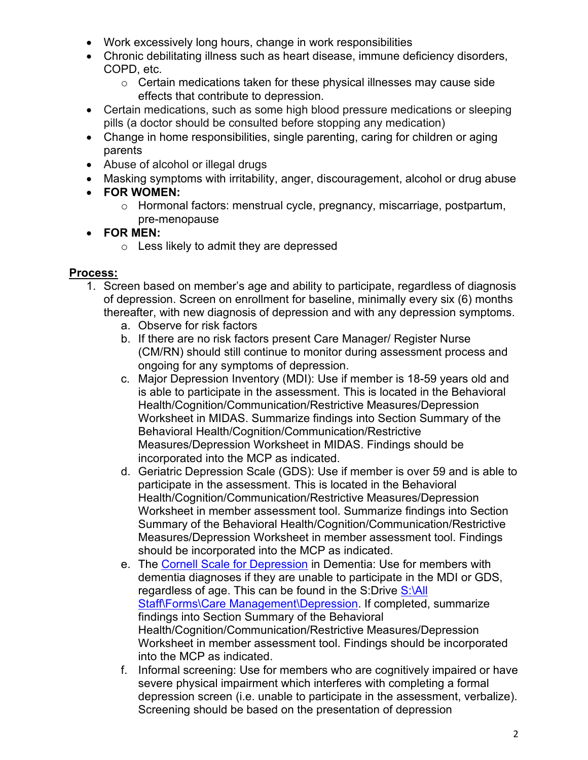- Work excessively long hours, change in work responsibilities
- Chronic debilitating illness such as heart disease, immune deficiency disorders, COPD, etc.
	- o Certain medications taken for these physical illnesses may cause side effects that contribute to depression.
- Certain medications, such as some high blood pressure medications or sleeping pills (a doctor should be consulted before stopping any medication)
- Change in home responsibilities, single parenting, caring for children or aging parents
- Abuse of alcohol or illegal drugs
- Masking symptoms with irritability, anger, discouragement, alcohol or drug abuse
- **FOR WOMEN:**
	- o Hormonal factors: menstrual cycle, pregnancy, miscarriage, postpartum, pre-menopause

## • **FOR MEN:**

o Less likely to admit they are depressed

### **Process:**

- 1. Screen based on member's age and ability to participate, regardless of diagnosis of depression. Screen on enrollment for baseline, minimally every six (6) months thereafter, with new diagnosis of depression and with any depression symptoms.
	- a. Observe for risk factors
	- b. If there are no risk factors present Care Manager/ Register Nurse (CM/RN) should still continue to monitor during assessment process and ongoing for any symptoms of depression.
	- c. Major Depression Inventory (MDI): Use if member is 18-59 years old and is able to participate in the assessment. This is located in the Behavioral Health/Cognition/Communication/Restrictive Measures/Depression Worksheet in MIDAS. Summarize findings into Section Summary of the Behavioral Health/Cognition/Communication/Restrictive Measures/Depression Worksheet in MIDAS. Findings should be incorporated into the MCP as indicated.
	- d. Geriatric Depression Scale (GDS): Use if member is over 59 and is able to participate in the assessment. This is located in the Behavioral Health/Cognition/Communication/Restrictive Measures/Depression Worksheet in member assessment tool. Summarize findings into Section Summary of the Behavioral Health/Cognition/Communication/Restrictive Measures/Depression Worksheet in member assessment tool. Findings should be incorporated into the MCP as indicated.
	- e. The [Cornell Scale for Depression](file://lcdfnp02.lakelandcareinc.com/Groups/All%20Staff/Forms/Care%20Management/Depression/Cornell%20Scale%20for%20Depression%20in%20Dementia.pdf) in Dementia: Use for members with dementia diagnoses if they are unable to participate in the MDI or GDS, regardless of age. This can be found in the S:Drive S:\All [Staff\Forms\Care Management\Depression.](file://lcdfnp02.lakelandcareinc.com/Groups/All%20Staff/Forms/Care%20Management/Depression) If completed, summarize findings into Section Summary of the Behavioral Health/Cognition/Communication/Restrictive Measures/Depression Worksheet in member assessment tool. Findings should be incorporated into the MCP as indicated.
	- f. Informal screening: Use for members who are cognitively impaired or have severe physical impairment which interferes with completing a formal depression screen (i.e. unable to participate in the assessment, verbalize). Screening should be based on the presentation of depression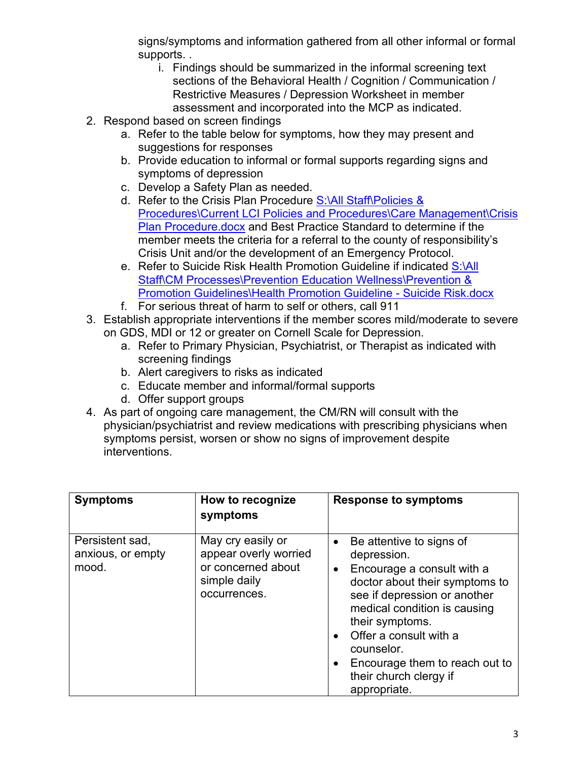signs/symptoms and information gathered from all other informal or formal supports. .

- i. Findings should be summarized in the informal screening text sections of the Behavioral Health / Cognition / Communication / Restrictive Measures / Depression Worksheet in member assessment and incorporated into the MCP as indicated.
- 2. Respond based on screen findings
	- a. Refer to the table below for symptoms, how they may present and suggestions for responses
	- b. Provide education to informal or formal supports regarding signs and symptoms of depression
	- c. Develop a Safety Plan as needed.
	- d. Refer to the Crisis Plan Procedure S:\All Staff\Policies & [Procedures\Current LCI Policies and Procedures\Care Management\Crisis](file://lcdfnp02.lakelandcareinc.com/Groups/All%20Staff/Policies%20&%20Procedures/Current%20LCI%20Policies%20and%20Procedures/Care%20Management/Crisis%20Plan%20Procedure.docx)  [Plan Procedure.docx](file://lcdfnp02.lakelandcareinc.com/Groups/All%20Staff/Policies%20&%20Procedures/Current%20LCI%20Policies%20and%20Procedures/Care%20Management/Crisis%20Plan%20Procedure.docx) and Best Practice Standard to determine if the member meets the criteria for a referral to the county of responsibility's Crisis Unit and/or the development of an Emergency Protocol.
	- e. Refer to Suicide Risk Health Promotion Guideline if indicated S:\All [Staff\CM Processes\Prevention Education Wellness\Prevention &](file://lcdfnp02.lakelandcareinc.com/Groups/All%20Staff/CM%20Processes/Prevention%20Education%20Wellness/Prevention%20&%20Promotion%20Guidelines/Health%20Promotion%20Guideline%20-%20Suicide%20Risk.docx)  [Promotion Guidelines\Health Promotion Guideline -](file://lcdfnp02.lakelandcareinc.com/Groups/All%20Staff/CM%20Processes/Prevention%20Education%20Wellness/Prevention%20&%20Promotion%20Guidelines/Health%20Promotion%20Guideline%20-%20Suicide%20Risk.docx) Suicide Risk.docx
	- f. For serious threat of harm to self or others, call 911
- 3. Establish appropriate interventions if the member scores mild/moderate to severe on GDS, MDI or 12 or greater on Cornell Scale for Depression.
	- a. Refer to Primary Physician, Psychiatrist, or Therapist as indicated with screening findings
	- b. Alert caregivers to risks as indicated
	- c. Educate member and informal/formal supports
	- d. Offer support groups
- 4. As part of ongoing care management, the CM/RN will consult with the physician/psychiatrist and review medications with prescribing physicians when symptoms persist, worsen or show no signs of improvement despite interventions.

| <b>Symptoms</b>                               | How to recognize<br>symptoms                                                                     | <b>Response to symptoms</b>                                                                                                                                                                                                                                                                                                                                        |
|-----------------------------------------------|--------------------------------------------------------------------------------------------------|--------------------------------------------------------------------------------------------------------------------------------------------------------------------------------------------------------------------------------------------------------------------------------------------------------------------------------------------------------------------|
| Persistent sad,<br>anxious, or empty<br>mood. | May cry easily or<br>appear overly worried<br>or concerned about<br>simple daily<br>occurrences. | Be attentive to signs of<br>$\bullet$<br>depression.<br>Encourage a consult with a<br>$\bullet$<br>doctor about their symptoms to<br>see if depression or another<br>medical condition is causing<br>their symptoms.<br>Offer a consult with a<br>$\bullet$<br>counselor.<br>Encourage them to reach out to<br>$\bullet$<br>their church clergy if<br>appropriate. |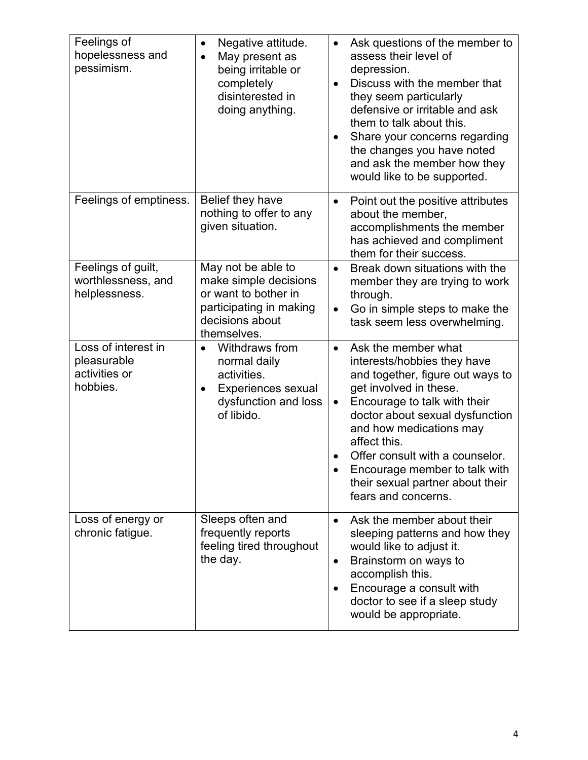| Feelings of<br>hopelessness and<br>pessimism.                   | Negative attitude.<br>$\bullet$<br>May present as<br>being irritable or<br>completely<br>disinterested in<br>doing anything.        | Ask questions of the member to<br>$\bullet$<br>assess their level of<br>depression.<br>Discuss with the member that<br>$\bullet$<br>they seem particularly<br>defensive or irritable and ask<br>them to talk about this.<br>Share your concerns regarding<br>$\bullet$<br>the changes you have noted<br>and ask the member how they<br>would like to be supported.                      |
|-----------------------------------------------------------------|-------------------------------------------------------------------------------------------------------------------------------------|-----------------------------------------------------------------------------------------------------------------------------------------------------------------------------------------------------------------------------------------------------------------------------------------------------------------------------------------------------------------------------------------|
| Feelings of emptiness.                                          | Belief they have<br>nothing to offer to any<br>given situation.                                                                     | Point out the positive attributes<br>$\bullet$<br>about the member,<br>accomplishments the member<br>has achieved and compliment<br>them for their success.                                                                                                                                                                                                                             |
| Feelings of guilt,<br>worthlessness, and<br>helplessness.       | May not be able to<br>make simple decisions<br>or want to bother in<br>participating in making<br>decisions about<br>themselves.    | Break down situations with the<br>$\bullet$<br>member they are trying to work<br>through.<br>Go in simple steps to make the<br>$\bullet$<br>task seem less overwhelming.                                                                                                                                                                                                                |
| Loss of interest in<br>pleasurable<br>activities or<br>hobbies. | Withdraws from<br>$\bullet$<br>normal daily<br>activities.<br>Experiences sexual<br>$\bullet$<br>dysfunction and loss<br>of libido. | Ask the member what<br>$\bullet$<br>interests/hobbies they have<br>and together, figure out ways to<br>get involved in these.<br>Encourage to talk with their<br>$\bullet$<br>doctor about sexual dysfunction<br>and how medications may<br>affect this.<br>Offer consult with a counselor.<br>Encourage member to talk with<br>their sexual partner about their<br>fears and concerns. |
| Loss of energy or<br>chronic fatigue.                           | Sleeps often and<br>frequently reports<br>feeling tired throughout<br>the day.                                                      | Ask the member about their<br>$\bullet$<br>sleeping patterns and how they<br>would like to adjust it.<br>Brainstorm on ways to<br>$\bullet$<br>accomplish this.<br>Encourage a consult with<br>doctor to see if a sleep study<br>would be appropriate.                                                                                                                                  |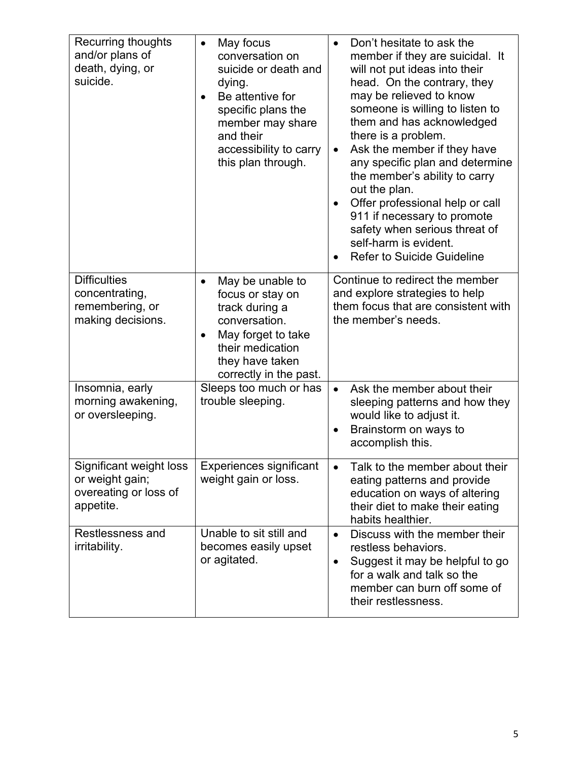| <b>Recurring thoughts</b><br>and/or plans of<br>death, dying, or<br>suicide.     | May focus<br>$\bullet$<br>conversation on<br>suicide or death and<br>dying.<br>Be attentive for<br>$\bullet$<br>specific plans the<br>member may share<br>and their<br>accessibility to carry<br>this plan through. | Don't hesitate to ask the<br>$\bullet$<br>member if they are suicidal. It<br>will not put ideas into their<br>head. On the contrary, they<br>may be relieved to know<br>someone is willing to listen to<br>them and has acknowledged<br>there is a problem.<br>Ask the member if they have<br>$\bullet$<br>any specific plan and determine<br>the member's ability to carry<br>out the plan.<br>Offer professional help or call<br>$\bullet$<br>911 if necessary to promote<br>safety when serious threat of<br>self-harm is evident.<br>Refer to Suicide Guideline |
|----------------------------------------------------------------------------------|---------------------------------------------------------------------------------------------------------------------------------------------------------------------------------------------------------------------|---------------------------------------------------------------------------------------------------------------------------------------------------------------------------------------------------------------------------------------------------------------------------------------------------------------------------------------------------------------------------------------------------------------------------------------------------------------------------------------------------------------------------------------------------------------------|
| <b>Difficulties</b><br>concentrating,<br>remembering, or<br>making decisions.    | May be unable to<br>$\bullet$<br>focus or stay on<br>track during a<br>conversation.<br>May forget to take<br>$\bullet$<br>their medication<br>they have taken<br>correctly in the past.                            | Continue to redirect the member<br>and explore strategies to help<br>them focus that are consistent with<br>the member's needs.                                                                                                                                                                                                                                                                                                                                                                                                                                     |
| Insomnia, early<br>morning awakening,<br>or oversleeping.                        | Sleeps too much or has<br>trouble sleeping.                                                                                                                                                                         | Ask the member about their<br>$\bullet$<br>sleeping patterns and how they<br>would like to adjust it.<br>Brainstorm on ways to<br>$\bullet$<br>accomplish this.                                                                                                                                                                                                                                                                                                                                                                                                     |
| Significant weight loss<br>or weight gain;<br>overeating or loss of<br>appetite. | Experiences significant<br>weight gain or loss.                                                                                                                                                                     | Talk to the member about their<br>$\bullet$<br>eating patterns and provide<br>education on ways of altering<br>their diet to make their eating<br>habits healthier.                                                                                                                                                                                                                                                                                                                                                                                                 |
| Restlessness and<br>irritability.                                                | Unable to sit still and<br>becomes easily upset<br>or agitated.                                                                                                                                                     | Discuss with the member their<br>$\bullet$<br>restless behaviors.<br>Suggest it may be helpful to go<br>$\bullet$<br>for a walk and talk so the<br>member can burn off some of<br>their restlessness.                                                                                                                                                                                                                                                                                                                                                               |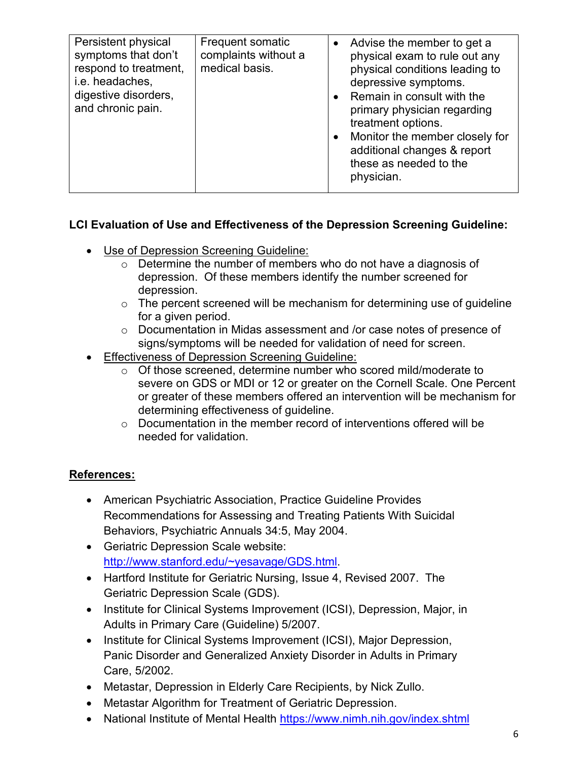| Persistent physical<br>symptoms that don't<br>respond to treatment,<br>i.e. headaches, | <b>Frequent somatic</b><br>complaints without a<br>medical basis. |           | Advise the member to get a<br>physical exam to rule out any<br>physical conditions leading to<br>depressive symptoms.                                                                    |
|----------------------------------------------------------------------------------------|-------------------------------------------------------------------|-----------|------------------------------------------------------------------------------------------------------------------------------------------------------------------------------------------|
| digestive disorders,<br>and chronic pain.                                              |                                                                   | $\bullet$ | Remain in consult with the<br>primary physician regarding<br>treatment options.<br>Monitor the member closely for<br>additional changes & report<br>these as needed to the<br>physician. |

## **LCI Evaluation of Use and Effectiveness of the Depression Screening Guideline:**

- Use of Depression Screening Guideline:
	- $\circ$  Determine the number of members who do not have a diagnosis of depression. Of these members identify the number screened for depression.
	- $\circ$  The percent screened will be mechanism for determining use of guideline for a given period.
	- o Documentation in Midas assessment and /or case notes of presence of signs/symptoms will be needed for validation of need for screen.
- **Effectiveness of Depression Screening Guideline:** 
	- o Of those screened, determine number who scored mild/moderate to severe on GDS or MDI or 12 or greater on the Cornell Scale. One Percent or greater of these members offered an intervention will be mechanism for determining effectiveness of guideline.
	- o Documentation in the member record of interventions offered will be needed for validation.

# **References:**

- American Psychiatric Association, Practice Guideline Provides Recommendations for Assessing and Treating Patients With Suicidal Behaviors, Psychiatric Annuals 34:5, May 2004.
- Geriatric Depression Scale website: [http://www.stanford.edu/~yesavage/GDS.html.](http://www.stanford.edu/%7Eyesavage/GDS.html)
- Hartford Institute for Geriatric Nursing, Issue 4, Revised 2007. The Geriatric Depression Scale (GDS).
- Institute for Clinical Systems Improvement (ICSI), Depression, Major, in Adults in Primary Care (Guideline) 5/2007.
- Institute for Clinical Systems Improvement (ICSI), Major Depression, Panic Disorder and Generalized Anxiety Disorder in Adults in Primary Care, 5/2002.
- Metastar, Depression in Elderly Care Recipients, by Nick Zullo.
- Metastar Algorithm for Treatment of Geriatric Depression.
- National Institute of Mental Health<https://www.nimh.nih.gov/index.shtml>